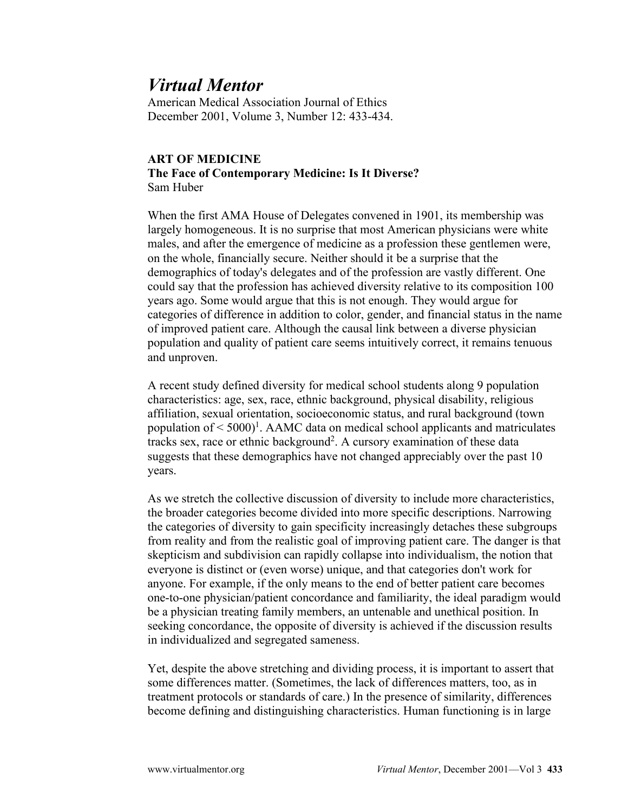## *Virtual Mentor*

American Medical Association Journal of Ethics December 2001, Volume 3, Number 12: 433-434.

## **ART OF MEDICINE The Face of Contemporary Medicine: Is It Diverse?** Sam Huber

When the first AMA House of Delegates convened in 1901, its membership was largely homogeneous. It is no surprise that most American physicians were white males, and after the emergence of medicine as a profession these gentlemen were, on the whole, financially secure. Neither should it be a surprise that the demographics of today's delegates and of the profession are vastly different. One could say that the profession has achieved diversity relative to its composition 100 years ago. Some would argue that this is not enough. They would argue for categories of difference in addition to color, gender, and financial status in the name of improved patient care. Although the causal link between a diverse physician population and quality of patient care seems intuitively correct, it remains tenuous and unproven.

A recent study defined diversity for medical school students along 9 population characteristics: age, sex, race, ethnic background, physical disability, religious affiliation, sexual orientation, socioeconomic status, and rural background (town population of  $\leq 5000$ <sup>1</sup>. AAMC data on medical school applicants and matriculates tracks sex, race or ethnic background<sup>2</sup>. A cursory examination of these data suggests that these demographics have not changed appreciably over the past 10 years.

As we stretch the collective discussion of diversity to include more characteristics, the broader categories become divided into more specific descriptions. Narrowing the categories of diversity to gain specificity increasingly detaches these subgroups from reality and from the realistic goal of improving patient care. The danger is that skepticism and subdivision can rapidly collapse into individualism, the notion that everyone is distinct or (even worse) unique, and that categories don't work for anyone. For example, if the only means to the end of better patient care becomes one-to-one physician/patient concordance and familiarity, the ideal paradigm would be a physician treating family members, an untenable and unethical position. In seeking concordance, the opposite of diversity is achieved if the discussion results in individualized and segregated sameness.

Yet, despite the above stretching and dividing process, it is important to assert that some differences matter. (Sometimes, the lack of differences matters, too, as in treatment protocols or standards of care.) In the presence of similarity, differences become defining and distinguishing characteristics. Human functioning is in large